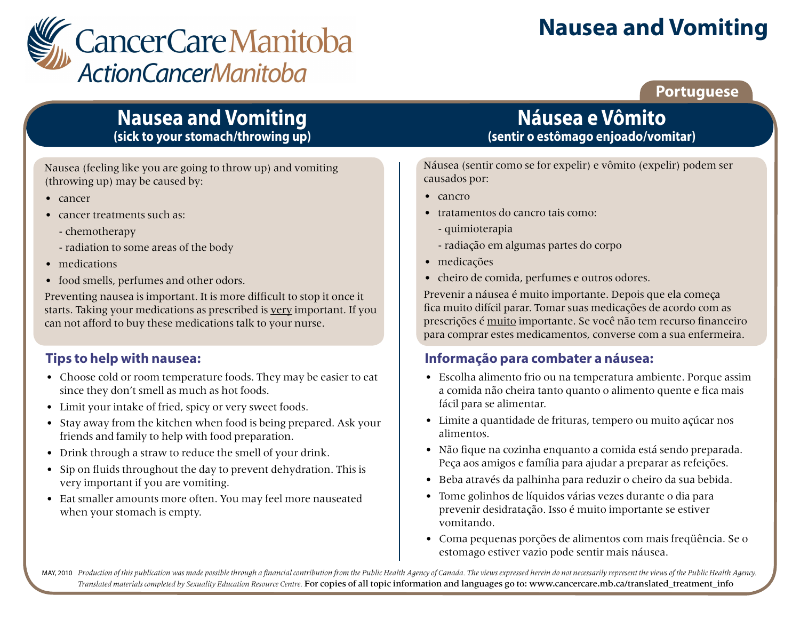

# **Nausea and Vomiting**

**Portuguese**

# **Nausea and Vomiting (sick to your stomach/throwing up)**

Nausea (feeling like you are going to throw up) and vomiting (throwing up) may be caused by:

- cancer
- cancer treatments such as:
	- chemotherapy
	- radiation to some areas of the body
- medications
- food smells, perfumes and other odors.

Preventing nausea is important. It is more difficult to stop it once it starts. Taking your medications as prescribed is very important. If you can not afford to buy these medications talk to your nurse.

### **Tips to help with nausea:**

- Choose cold or room temperature foods. They may be easier to eat since they don't smell as much as hot foods.
- Limit your intake of fried, spicy or very sweet foods.
- Stay away from the kitchen when food is being prepared. Ask your friends and family to help with food preparation.
- Drink through a straw to reduce the smell of your drink.
- Sip on fluids throughout the day to prevent dehydration. This is very important if you are vomiting.
- Eat smaller amounts more often. You may feel more nauseated when your stomach is empty.

# **Náusea e Vômito (sentir o estômago enjoado/vomitar)**

Náusea (sentir como se for expelir) e vômito (expelir) podem ser causados por:

- cancro
- tratamentos do cancro tais como:
	- quimioterapia
	- radiação em algumas partes do corpo
- medicações
- cheiro de comida, perfumes e outros odores.

Prevenir a náusea é muito importante. Depois que ela começa fica muito difícil parar. Tomar suas medicações de acordo com as prescrições é muito importante. Se você não tem recurso financeiro para comprar estes medicamentos, converse com a sua enfermeira.

### **Informação para combater a náusea:**

- Escolha alimento frio ou na temperatura ambiente. Porque assim a comida não cheira tanto quanto o alimento quente e fica mais fácil para se alimentar.
- Limite a quantidade de frituras, tempero ou muito açúcar nos alimentos.
- Não fique na cozinha enquanto a comida está sendo preparada. Peça aos amigos e família para ajudar a preparar as refeições.
- Beba através da palhinha para reduzir o cheiro da sua bebida.
- Tome golinhos de líquidos várias vezes durante o dia para prevenir desidratação. Isso é muito importante se estiver vomitando.
- Coma pequenas porções de alimentos com mais freqüência. Se o estomago estiver vazio pode sentir mais náusea.

MAY, 2010 Production of this publication was made possible through a financial contribution from the Public Health Agency of Canada. The views expressed herein do not necessarily represent the views of the Public Health Ag *Translated materials completed by Sexuality Education Resource Centre.* For copies of all topic information and languages go to: www.cancercare.mb.ca/translated\_treatment\_info